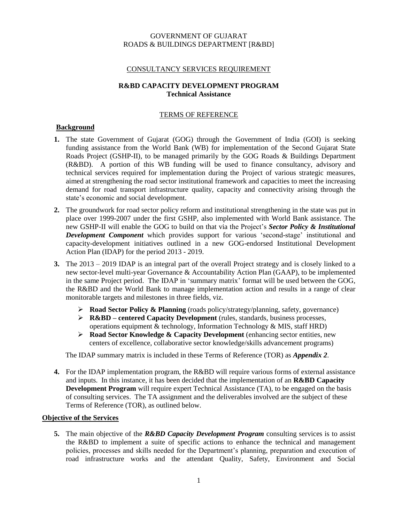#### GOVERNMENT OF GUJARAT ROADS & BUILDINGS DEPARTMENT [R&BD]

#### CONSULTANCY SERVICES REQUIREMENT

#### **R&BD CAPACITY DEVELOPMENT PROGRAM Technical Assistance**

#### TERMS OF REFERENCE

#### **Background**

- **1.** The state Government of Gujarat (GOG) through the Government of India (GOI) is seeking funding assistance from the World Bank (WB) for implementation of the Second Gujarat State Roads Project (GSHP-II), to be managed primarily by the GOG Roads & Buildings Department (R&BD). A portion of this WB funding will be used to finance consultancy, advisory and technical services required for implementation during the Project of various strategic measures, aimed at strengthening the road sector institutional framework and capacities to meet the increasing demand for road transport infrastructure quality, capacity and connectivity arising through the state's economic and social development.
- **2.** The groundwork for road sector policy reform and institutional strengthening in the state was put in place over 1999-2007 under the first GSHP, also implemented with World Bank assistance. The new GSHP-II will enable the GOG to build on that via the Project's *Sector Policy & Institutional Development Component* which provides support for various 'second-stage' institutional and capacity-development initiatives outlined in a new GOG-endorsed Institutional Development Action Plan (IDAP) for the period 2013 - 2019.
- **3.** The 2013 2019 IDAP is an integral part of the overall Project strategy and is closely linked to a new sector-level multi-year Governance & Accountability Action Plan (GAAP), to be implemented in the same Project period. The IDAP in 'summary matrix' format will be used between the GOG, the R&BD and the World Bank to manage implementation action and results in a range of clear monitorable targets and milestones in three fields, viz.
	- **Road Sector Policy & Planning** (roads policy/strategy/planning, safety, governance)
	- **R&BD – centered Capacity Development** (rules, standards, business processes, operations equipment  $&$  technology, Information Technology  $&$  MIS, staff HRD)
	- **Road Sector Knowledge & Capacity Development** (enhancing sector entities, new centers of excellence, collaborative sector knowledge/skills advancement programs)

The IDAP summary matrix is included in these Terms of Reference (TOR) as *Appendix 2*.

**4.** For the IDAP implementation program, the R&BD will require various forms of external assistance and inputs. In this instance, it has been decided that the implementation of an **R&BD Capacity Development Program** will require expert Technical Assistance (TA), to be engaged on the basis of consulting services. The TA assignment and the deliverables involved are the subject of these Terms of Reference (TOR), as outlined below.

#### **Objective of the Services**

**5.** The main objective of the *R&BD Capacity Development Program* consulting services is to assist the R&BD to implement a suite of specific actions to enhance the technical and management policies, processes and skills needed for the Department's planning, preparation and execution of road infrastructure works and the attendant Quality, Safety, Environment and Social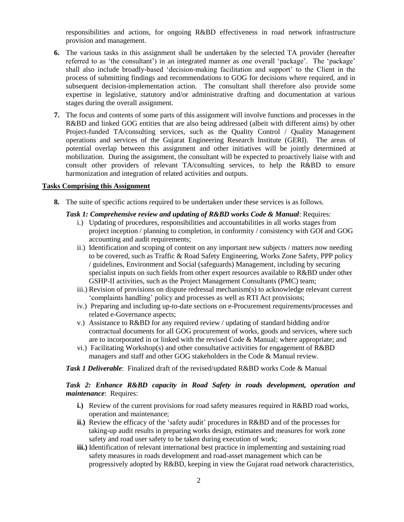responsibilities and actions, for ongoing R&BD effectiveness in road network infrastructure provision and management.

- **6.** The various tasks in this assignment shall be undertaken by the selected TA provider (hereafter referred to as 'the consultant') in an integrated manner as one overall 'package'. The 'package' shall also include broadly-based 'decision-making facilitation and support' to the Client in the process of submitting findings and recommendations to GOG for decisions where required, and in subsequent decision-implementation action. The consultant shall therefore also provide some expertise in legislative, statutory and/or administrative drafting and documentation at various stages during the overall assignment.
- **7.** The focus and contents of some parts of this assignment will involve functions and processes in the R&BD and linked GOG entities that are also being addressed (albeit with different aims) by other Project-funded TA/consulting services, such as the Quality Control / Quality Management operations and services of the Gujarat Engineering Research Institute (GERI). The areas of potential overlap between this assignment and other initiatives will be jointly determined at mobilization. During the assignment, the consultant will be expected to proactively liaise with and consult other providers of relevant TA/consulting services, to help the R&BD to ensure harmonization and integration of related activities and outputs.

#### **Tasks Comprising this Assignment**

**8.** The suite of specific actions required to be undertaken under these services is as follows.

#### *Task 1: Comprehensive review and updating of R&BD works Code & Manual*: Requires:

- i.) Updating of procedures, responsibilities and accountabilities in all works stages from project inception / planning to completion, in conformity / consistency with GOI and GOG accounting and audit requirements;
- ii.) Identification and scoping of content on any important new subjects / matters now needing to be covered, such as Traffic & Road Safety Engineering, Works Zone Safety, PPP policy / guidelines, Environment and Social (safeguards) Management, including by securing specialist inputs on such fields from other expert resources available to R&BD under other GSHP-II activities, such as the Project Management Consultants (PMC) team;
- iii.) Revision of provisions on dispute redressal mechanism(s) to acknowledge relevant current 'complaints handling' policy and processes as well as RTI Act provisions;
- iv.) Preparing and including up-to-date sections on e-Procurement requirements/processes and related e-Governance aspects;
- v.) Assistance to R&BD for any required review / updating of standard bidding and/or contractual documents for all GOG procurement of works, goods and services, where such are to incorporated in or linked with the revised Code & Manual; where appropriate; and
- vi.) Facilitating Workshop(s) and other consultative activities for engagement of R&BD managers and staff and other GOG stakeholders in the Code & Manual review.

*Task 1 Deliverable*: Finalized draft of the revised/updated R&BD works Code & Manual

#### *Task 2: Enhance R&BD capacity in Road Safety in roads development, operation and maintenance*: Requires:

- **i.)** Review of the current provisions for road safety measures required in R&BD road works, operation and maintenance;
- **ii.)** Review the efficacy of the 'safety audit' procedures in R&BD and of the processes for taking-up audit results in preparing works design, estimates and measures for work zone safety and road user safety to be taken during execution of work;
- **iii.**) Identification of relevant international best practice in implementing and sustaining road safety measures in roads development and road-asset management which can be progressively adopted by R&BD, keeping in view the Gujarat road network characteristics,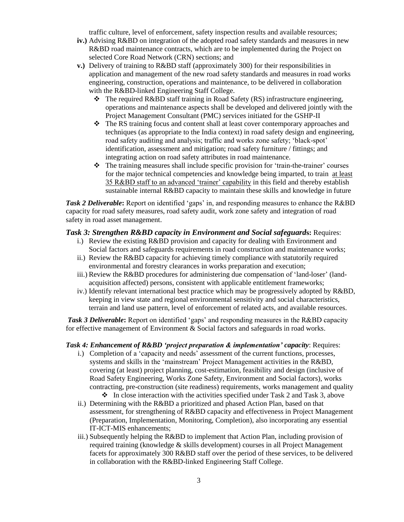traffic culture, level of enforcement, safety inspection results and available resources;

- **iv.)** Advising R&BD on integration of the adopted road safety standards and measures in new R&BD road maintenance contracts, which are to be implemented during the Project on selected Core Road Network (CRN) sections; and
- **v.)** Delivery of training to R&BD staff (approximately 300) for their responsibilities in application and management of the new road safety standards and measures in road works engineering, construction, operations and maintenance, to be delivered in collaboration with the R&BD-linked Engineering Staff College.
	- $\bullet$  The required R&BD staff training in Road Safety (RS) infrastructure engineering, operations and maintenance aspects shall be developed and delivered jointly with the Project Management Consultant (PMC) services initiated for the GSHP-II
	- The RS training focus and content shall at least cover contemporary approaches and techniques (as appropriate to the India context) in road safety design and engineering, road safety auditing and analysis; traffic and works zone safety; 'black-spot' identification, assessment and mitigation; road safety furniture / fittings; and integrating action on road safety attributes in road maintenance.
	- $\triangle$  The training measures shall include specific provision for 'train-the-trainer' courses for the major technical competencies and knowledge being imparted, to train at least 35 R&BD staff to an advanced 'trainer' capability in this field and thereby establish sustainable internal R&BD capacity to maintain these skills and knowledge in future

*Task 2 Deliverable*: Report on identified 'gaps' in, and responding measures to enhance the R&BD capacity for road safety measures, road safety audit, work zone safety and integration of road safety in road asset management.

#### *Task 3: Strengthen R&BD capacity in Environment and Social safeguard***s:** Requires:

- i.) Review the existing R&BD provision and capacity for dealing with Environment and Social factors and safeguards requirements in road construction and maintenance works;
- ii.) Review the R&BD capacity for achieving timely compliance with statutorily required environmental and forestry clearances in works preparation and execution;
- iii.) Review the R&BD procedures for administering due compensation of 'land-loser' (landacquisition affected) persons, consistent with applicable entitlement frameworks;
- iv.) Identify relevant international best practice which may be progressively adopted by R&BD, keeping in view state and regional environmental sensitivity and social characteristics, terrain and land use pattern, level of enforcement of related acts, and available resources.

*Task 3 Deliverable***:** Report on identified 'gaps' and responding measures in the R&BD capacity for effective management of Environment & Social factors and safeguards in road works.

#### *Task 4: Enhancement of R&BD 'project preparation & implementation' capacity*: Requires:

- i.) Completion of a 'capacity and needs' assessment of the current functions, processes, systems and skills in the 'mainstream' Project Management activities in the R&BD, covering (at least) project planning, cost-estimation, feasibility and design (inclusive of Road Safety Engineering, Works Zone Safety, Environment and Social factors), works contracting, pre-construction (site readiness) requirements, works management and quality  $\bullet$  In close interaction with the activities specified under Task 2 and Task 3, above
- ii.) Determining with the R&BD a prioritized and phased Action Plan, based on that assessment, for strengthening of R&BD capacity and effectiveness in Project Management (Preparation, Implementation, Monitoring, Completion), also incorporating any essential IT-ICT-MIS enhancements;
- iii.) Subsequently helping the R&BD to implement that Action Plan, including provision of required training (knowledge & skills development) courses in all Project Management facets for approximately 300 R&BD staff over the period of these services, to be delivered in collaboration with the R&BD-linked Engineering Staff College.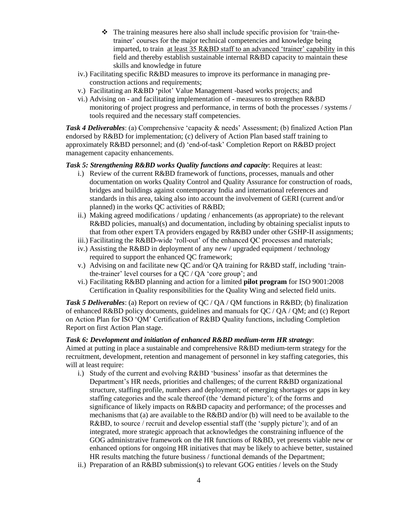- The training measures here also shall include specific provision for 'train-thetrainer' courses for the major technical competencies and knowledge being imparted, to train at least 35 R&BD staff to an advanced 'trainer' capability in this field and thereby establish sustainable internal R&BD capacity to maintain these skills and knowledge in future
- iv.) Facilitating specific R&BD measures to improve its performance in managing preconstruction actions and requirements;
- v.) Facilitating an R&BD 'pilot' Value Management -based works projects; and
- vi.) Advising on and facilitating implementation of measures to strengthen R&BD monitoring of project progress and performance, in terms of both the processes / systems / tools required and the necessary staff competencies.

*Task 4 Deliverables*: (a) Comprehensive 'capacity & needs' Assessment; (b) finalized Action Plan endorsed by R&BD for implementation; (c) delivery of Action Plan based staff training to approximately R&BD personnel; and (d) 'end-of-task' Completion Report on R&BD project management capacity enhancements.

### *Task 5: Strengthening R&BD works Quality functions and capacity*: Requires at least:

- i.) Review of the current R&BD framework of functions, processes, manuals and other documentation on works Quality Control and Quality Assurance for construction of roads, bridges and buildings against contemporary India and international references and standards in this area, taking also into account the involvement of GERI (current and/or planned) in the works QC activities of R&BD;
- ii.) Making agreed modifications / updating / enhancements (as appropriate) to the relevant R&BD policies, manual(s) and documentation, including by obtaining specialist inputs to that from other expert TA providers engaged by R&BD under other GSHP-II assignments;
- iii.) Facilitating the R&BD-wide 'roll-out' of the enhanced QC processes and materials;
- iv.) Assisting the R&BD in deployment of any new / upgraded equipment / technology required to support the enhanced QC framework;
- v.) Advising on and facilitate new QC and/or QA training for R&BD staff, including 'trainthe-trainer' level courses for a QC / QA 'core group'; and
- vi.) Facilitating R&BD planning and action for a limited **pilot program** for ISO 9001:2008 Certification in Quality responsibilities for the Quality Wing and selected field units.

*Task 5 Deliverables*: (a) Report on review of QC / QA / QM functions in R&BD; (b) finalization of enhanced R&BD policy documents, guidelines and manuals for QC / QA / QM; and (c) Report on Action Plan for ISO 'QM' Certification of R&BD Quality functions, including Completion Report on first Action Plan stage.

#### *Task 6: Development and initiation of enhanced R&BD medium-term HR strategy*:

Aimed at putting in place a sustainable and comprehensive R&BD medium-term strategy for the recruitment, development, retention and management of personnel in key staffing categories, this will at least require:

- i.) Study of the current and evolving R&BD 'business' insofar as that determines the Department's HR needs, priorities and challenges; of the current R&BD organizational structure, staffing profile, numbers and deployment; of emerging shortages or gaps in key staffing categories and the scale thereof (the 'demand picture'); of the forms and significance of likely impacts on R&BD capacity and performance; of the processes and mechanisms that (a) are available to the R&BD and/or (b) will need to be available to the R&BD, to source / recruit and develop essential staff (the 'supply picture'); and of an integrated, more strategic approach that acknowledges the constraining influence of the GOG administrative framework on the HR functions of R&BD, yet presents viable new or enhanced options for ongoing HR initiatives that may be likely to achieve better, sustained HR results matching the future business / functional demands of the Department;
- ii.) Preparation of an R&BD submission(s) to relevant GOG entities / levels on the Study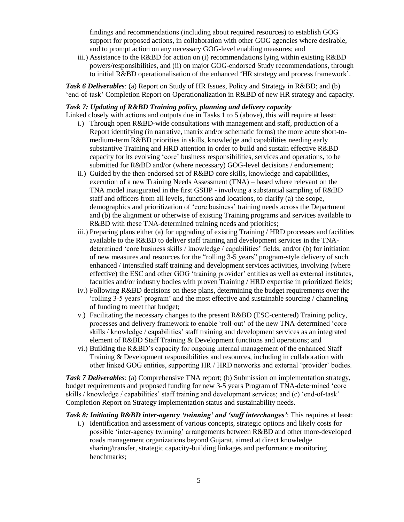findings and recommendations (including about required resources) to establish GOG support for proposed actions, in collaboration with other GOG agencies where desirable, and to prompt action on any necessary GOG-level enabling measures; and

iii.) Assistance to the R&BD for action on (i) recommendations lying within existing R&BD powers/responsibilities, and (ii) on major GOG-endorsed Study recommendations, through to initial R&BD operationalisation of the enhanced 'HR strategy and process framework'.

*Task 6 Deliverables*: (a) Report on Study of HR Issues, Policy and Strategy in R&BD; and (b) 'end-of-task' Completion Report on Operationalization in R&BD of new HR strategy and capacity.

#### *Task 7: Updating of R&BD Training policy, planning and delivery capacity*

Linked closely with actions and outputs due in Tasks 1 to 5 (above), this will require at least:

- i.) Through open R&BD-wide consultations with management and staff, production of a Report identifying (in narrative, matrix and/or schematic forms) the more acute short-tomedium-term R&BD priorities in skills, knowledge and capabilities needing early substantive Training and HRD attention in order to build and sustain effective R&BD capacity for its evolving 'core' business responsibilities, services and operations, to be submitted for R&BD and/or (where necessary) GOG-level decisions / endorsement;
- ii.) Guided by the then-endorsed set of R&BD core skills, knowledge and capabilities, execution of a new Training Needs Assessment (TNA) – based where relevant on the TNA model inaugurated in the first GSHP - involving a substantial sampling of R&BD staff and officers from all levels, functions and locations, to clarify (a) the scope, demographics and prioritization of 'core business' training needs across the Department and (b) the alignment or otherwise of existing Training programs and services available to R&BD with these TNA-determined training needs and priorities;
- iii.) Preparing plans either (a) for upgrading of existing Training / HRD processes and facilities available to the R&BD to deliver staff training and development services in the TNAdetermined 'core business skills / knowledge / capabilities' fields, and/or (b) for initiation of new measures and resources for the "rolling 3-5 years" program-style delivery of such enhanced / intensified staff training and development services activities, involving (where effective) the ESC and other GOG 'training provider' entities as well as external institutes, faculties and/or industry bodies with proven Training / HRD expertise in prioritized fields;
- iv.) Following R&BD decisions on these plans, determining the budget requirements over the 'rolling 3-5 years' program' and the most effective and sustainable sourcing / channeling of funding to meet that budget;
- v.) Facilitating the necessary changes to the present R&BD (ESC-centered) Training policy, processes and delivery framework to enable 'roll-out' of the new TNA-determined 'core skills / knowledge / capabilities' staff training and development services as an integrated element of R&BD Staff Training & Development functions and operations; and
- vi.) Building the R&BD's capacity for ongoing internal management of the enhanced Staff Training & Development responsibilities and resources, including in collaboration with other linked GOG entities, supporting HR / HRD networks and external 'provider' bodies.

*Task 7 Deliverables*: (a) Comprehensive TNA report; (b) Submission on implementation strategy, budget requirements and proposed funding for new 3-5 years Program of TNA-determined 'core skills / knowledge / capabilities' staff training and development services; and (c) 'end-of-task' Completion Report on Strategy implementation status and sustainability needs.

*Task 8: Initiating R&BD inter-agency 'twinning' and 'staff interchanges'*: This requires at least:

i.) Identification and assessment of various concepts, strategic options and likely costs for possible 'inter-agency twinning' arrangements between R&BD and other more-developed roads management organizations beyond Gujarat, aimed at direct knowledge sharing/transfer, strategic capacity-building linkages and performance monitoring benchmarks;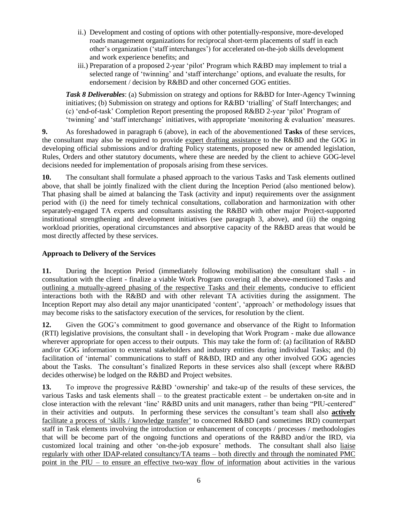- ii.) Development and costing of options with other potentially-responsive, more-developed roads management organizations for reciprocal short-term placements of staff in each other's organization ('staff interchanges') for accelerated on-the-job skills development and work experience benefits; and
- iii.) Preparation of a proposed 2-year 'pilot' Program which R&BD may implement to trial a selected range of 'twinning' and 'staff interchange' options, and evaluate the results, for endorsement / decision by R&BD and other concerned GOG entities.

*Task 8 Deliverables*: (a) Submission on strategy and options for R&BD for Inter-Agency Twinning initiatives; (b) Submission on strategy and options for R&BD 'trialling' of Staff Interchanges; and (c) 'end-of-task' Completion Report presenting the proposed R&BD 2-year 'pilot' Program of 'twinning' and 'staff interchange' initiatives, with appropriate 'monitoring & evaluation' measures.

**9.** As foreshadowed in paragraph 6 (above), in each of the abovementioned **Tasks** of these services, the consultant may also be required to provide expert drafting assistance to the R&BD and the GOG in developing official submissions and/or drafting Policy statements, proposed new or amended legislation, Rules, Orders and other statutory documents, where these are needed by the client to achieve GOG-level decisions needed for implementation of proposals arising from these services.

**10.** The consultant shall formulate a phased approach to the various Tasks and Task elements outlined above, that shall be jointly finalized with the client during the Inception Period (also mentioned below). That phasing shall be aimed at balancing the Task (activity and input) requirements over the assignment period with (i) the need for timely technical consultations, collaboration and harmonization with other separately-engaged TA experts and consultants assisting the R&BD with other major Project-supported institutional strengthening and development initiatives (see paragraph 3, above), and (ii) the ongoing workload priorities, operational circumstances and absorptive capacity of the R&BD areas that would be most directly affected by these services.

### **Approach to Delivery of the Services**

**11.** During the Inception Period (immediately following mobilisation) the consultant shall - in consultation with the client - finalize a viable Work Program covering all the above-mentioned Tasks and outlining a mutually-agreed phasing of the respective Tasks and their elements, conducive to efficient interactions both with the R&BD and with other relevant TA activities during the assignment. The Inception Report may also detail any major unanticipated 'content', 'approach' or methodology issues that may become risks to the satisfactory execution of the services, for resolution by the client.

**12.** Given the GOG's commitment to good governance and observance of the Right to Information (RTI) legislative provisions, the consultant shall - in developing that Work Program - make due allowance wherever appropriate for open access to their outputs. This may take the form of: (a) facilitation of R&BD and/or GOG information to external stakeholders and industry entities during individual Tasks; and (b) facilitation of 'internal' communications to staff of R&BD, IRD and any other involved GOG agencies about the Tasks. The consultant's finalized Reports in these services also shall (except where R&BD decides otherwise) be lodged on the R&BD and Project websites.

**13.** To improve the progressive R&BD 'ownership' and take-up of the results of these services, the various Tasks and task elements shall – to the greatest practicable extent – be undertaken on-site and in close interaction with the relevant 'line' R&BD units and unit managers, rather than being "PIU-centered" in their activities and outputs. In performing these services the consultant's team shall also **actively** facilitate a process of 'skills / knowledge transfer' to concerned R&BD (and sometimes IRD) counterpart staff in Task elements involving the introduction or enhancement of concepts / processes / methodologies that will be become part of the ongoing functions and operations of the R&BD and/or the IRD, via customized local training and other 'on-the-job exposure' methods. The consultant shall also liaise regularly with other IDAP-related consultancy/TA teams – both directly and through the nominated PMC point in the PIU – to ensure an effective two-way flow of information about activities in the various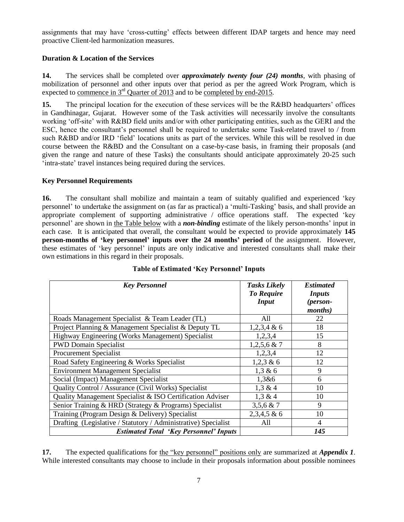assignments that may have 'cross-cutting' effects between different IDAP targets and hence may need proactive Client-led harmonization measures.

#### **Duration & Location of the Services**

**14.** The services shall be completed over *approximately twenty four (24) months*, with phasing of mobilization of personnel and other inputs over that period as per the agreed Work Program, which is expected to commence in  $3^{rd}$  Quarter of 2013 and to be completed by end-2015.

**15.** The principal location for the execution of these services will be the R&BD headquarters' offices in Gandhinagar, Gujarat. However some of the Task activities will necessarily involve the consultants working 'off-site' with R&BD field units and/or with other participating entities, such as the GERI and the ESC, hence the consultant's personnel shall be required to undertake some Task-related travel to / from such R&BD and/or IRD 'field' locations units as part of the services. While this will be resolved in due course between the R&BD and the Consultant on a case-by-case basis, in framing their proposals (and given the range and nature of these Tasks) the consultants should anticipate approximately 20-25 such 'intra-state' travel instances being required during the services.

#### **Key Personnel Requirements**

**16.** The consultant shall mobilize and maintain a team of suitably qualified and experienced 'key personnel' to undertake the assignment on (as far as practical) a 'multi-Tasking' basis, and shall provide an appropriate complement of supporting administrative / office operations staff. The expected 'key personnel' are shown in the Table below with a *non-binding* estimate of the likely person-months' input in each case. It is anticipated that overall, the consultant would be expected to provide approximately **145 person-months of 'key personnel' inputs over the 24 months' period** of the assignment. However, these estimates of 'key personnel' inputs are only indicative and interested consultants shall make their own estimations in this regard in their proposals.

| <b>Key Personnel</b>                                           | <b>Tasks Likely</b><br><b>To Require</b><br><b>Input</b> | <b>Estimated</b><br><b>Inputs</b><br>(person-<br><i>months</i> ) |
|----------------------------------------------------------------|----------------------------------------------------------|------------------------------------------------------------------|
| Roads Management Specialist & Team Leader (TL)                 | All                                                      | 22                                                               |
| Project Planning & Management Specialist & Deputy TL           | $1,2,3,4 \& 6$                                           | 18                                                               |
| Highway Engineering (Works Management) Specialist              | 1,2,3,4                                                  | 15                                                               |
| <b>PWD Domain Specialist</b>                                   | $1,2,5,6$ & 7                                            | 8                                                                |
| <b>Procurement Specialist</b>                                  | 1,2,3,4                                                  | 12                                                               |
| Road Safety Engineering & Works Specialist                     | $1,2,3 \& 6$                                             | 12                                                               |
| <b>Environment Management Specialist</b>                       | 1,3 & 6                                                  | 9                                                                |
| Social (Impact) Management Specialist                          | 1,3&6                                                    | 6                                                                |
| Quality Control / Assurance (Civil Works) Specialist           | 1,3 & 4                                                  | 10                                                               |
| Quality Management Specialist & ISO Certification Adviser      | 1,3 & 4                                                  | 10                                                               |
| Senior Training & HRD (Strategy & Programs) Specialist         | $3,5,6 \& 7$                                             | 9                                                                |
| Training (Program Design & Delivery) Specialist                | $2,3,4,5 \& 6$                                           | 10                                                               |
| Drafting (Legislative / Statutory / Administrative) Specialist | All                                                      | 4                                                                |
| <b>Estimated Total 'Key Personnel' Inputs</b>                  |                                                          | 145                                                              |

#### **Table of Estimated 'Key Personnel' Inputs**

**17.** The expected qualifications for the "key personnel" positions only are summarized at *Appendix 1*. While interested consultants may choose to include in their proposals information about possible nominees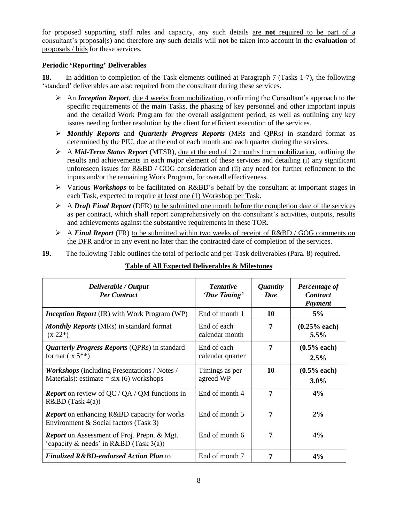for proposed supporting staff roles and capacity, any such details are **not** required to be part of a consultant's proposal(s) and therefore any such details will **not** be taken into account in the **evaluation** of proposals / bids for these services.

### **Periodic 'Reporting' Deliverables**

**18.** In addition to completion of the Task elements outlined at Paragraph 7 (Tasks 1-7), the following 'standard' deliverables are also required from the consultant during these services.

- An *Inception Report*, due 4 weeks from mobilization, confirming the Consultant's approach to the specific requirements of the main Tasks, the phasing of key personnel and other important inputs and the detailed Work Program for the overall assignment period, as well as outlining any key issues needing further resolution by the client for efficient execution of the services.
- *Monthly Reports* and *Quarterly Progress Reports* (MRs and QPRs) in standard format as determined by the PIU, due at the end of each month and each quarter during the services.
- A *Mid-Term Status Report* (MTSR), due at the end of 12 months from mobilization, outlining the results and achievements in each major element of these services and detailing (i) any significant unforeseen issues for R&BD / GOG consideration and (ii) any need for further refinement to the inputs and/or the remaining Work Program, for overall effectiveness.
- Various *Workshops* to be facilitated on R&BD's behalf by the consultant at important stages in each Task, expected to require at least one (1) Workshop per Task.
- A *Draft Final Report* (DFR) to be submitted one month before the completion date of the services as per contract, which shall report comprehensively on the consultant's activities, outputs, results and achievements against the substantive requirements in these TOR.
- A *Final Report* (FR) to be submitted within two weeks of receipt of R&BD / GOG comments on the DFR and/or in any event no later than the contracted date of completion of the services.

**19.** The following Table outlines the total of periodic and per-Task deliverables (Para. 8) required.

| Deliverable / Output<br><b>Per Contract</b>                                                             | <b>Tentative</b><br>'Due Timing' | <i>Quantity</i><br>Due | Percentage of<br><b>Contract</b><br>Payment |
|---------------------------------------------------------------------------------------------------------|----------------------------------|------------------------|---------------------------------------------|
| <b>Inception Report</b> (IR) with Work Program (WP)                                                     | End of month 1                   | 10                     | 5%                                          |
| <b>Monthly Reports</b> (MRs) in standard format<br>$(x 22*)$                                            | End of each<br>calendar month    | 7                      | $(0.25%$ each)<br>$5.5\%$                   |
| <b>Quarterly Progress Reports (QPRs)</b> in standard<br>format $(x 5^{**})$                             | End of each<br>calendar quarter  | 7                      | $(0.5%$ each)<br>$2.5\%$                    |
| <i>Workshops</i> (including Presentations / Notes /<br>Materials): estimate = $\text{six}(6)$ workshops | Timings as per<br>agreed WP      | 10                     | $(0.5%$ each)<br>$3.0\%$                    |
| <b>Report</b> on review of QC / QA / QM functions in<br>$R&BD$ (Task 4(a))                              | End of month 4                   | 7                      | 4%                                          |
| <b>Report</b> on enhancing R&BD capacity for works<br>Environment & Social factors (Task 3)             | End of month 5                   | 7                      | 2%                                          |
| <b>Report</b> on Assessment of Proj. Prepn. & Mgt.<br>'capacity & needs' in R&BD (Task $3(a)$ )         | End of month 6                   | 7                      | 4%                                          |
| <b>Finalized R&amp;BD-endorsed Action Plan to</b>                                                       | End of month 7                   | 7                      | 4%                                          |

## **Table of All Expected Deliverables & Milestones**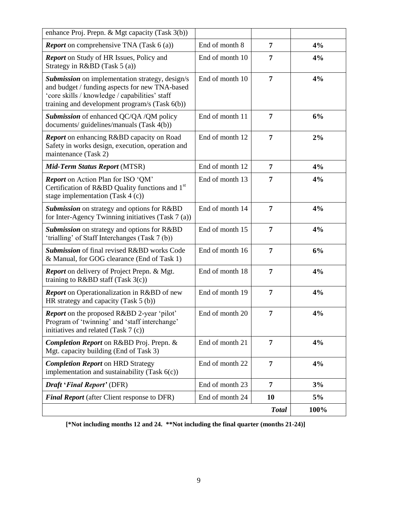| enhance Proj. Prepn. & Mgt capacity (Task 3(b))                                                                                                                                                              |                 |                |      |
|--------------------------------------------------------------------------------------------------------------------------------------------------------------------------------------------------------------|-----------------|----------------|------|
| <b>Report</b> on comprehensive TNA (Task 6 (a))                                                                                                                                                              | End of month 8  | 7              | 4%   |
| <b>Report</b> on Study of HR Issues, Policy and<br>Strategy in R&BD (Task 5 (a))                                                                                                                             | End of month 10 | 7              | 4%   |
| <b>Submission</b> on implementation strategy, design/s<br>and budget / funding aspects for new TNA-based<br>'core skills / knowledge / capabilities' staff<br>training and development program/s (Task 6(b)) | End of month 10 | 7              | 4%   |
| Submission of enhanced QC/QA /QM policy<br>documents/ guidelines/manuals (Task 4(b))                                                                                                                         | End of month 11 | 7              | 6%   |
| <b>Report</b> on enhancing R&BD capacity on Road<br>Safety in works design, execution, operation and<br>maintenance (Task 2)                                                                                 | End of month 12 | 7              | 2%   |
| Mid-Term Status Report (MTSR)                                                                                                                                                                                | End of month 12 | 7              | 4%   |
| <b>Report</b> on Action Plan for ISO 'QM'<br>Certification of R&BD Quality functions and 1 <sup>st</sup><br>stage implementation (Task $4(c)$ )                                                              | End of month 13 | 7              | 4%   |
| Submission on strategy and options for R&BD<br>for Inter-Agency Twinning initiatives (Task 7 (a))                                                                                                            | End of month 14 | 7              | 4%   |
| Submission on strategy and options for R&BD<br>'trialling' of Staff Interchanges (Task 7 (b))                                                                                                                | End of month 15 | 7              | 4%   |
| Submission of final revised R&BD works Code<br>& Manual, for GOG clearance (End of Task 1)                                                                                                                   | End of month 16 | 7              | 6%   |
| <b>Report</b> on delivery of Project Prepn. & Mgt.<br>training to $R&BD$ staff (Task 3(c))                                                                                                                   | End of month 18 | 7              | 4%   |
| <b>Report</b> on Operationalization in R&BD of new<br>HR strategy and capacity $(Task 5(b))$                                                                                                                 | End of month 19 | 7              | 4%   |
| Report on the proposed R&BD 2-year 'pilot'<br>Program of 'twinning' and 'staff interchange'<br>initiatives and related (Task 7 (c))                                                                          | End of month 20 | 7              | 4%   |
| Completion Report on R&BD Proj. Prepn. &<br>Mgt. capacity building (End of Task 3)                                                                                                                           | End of month 21 | $\overline{7}$ | 4%   |
| <b>Completion Report on HRD Strategy</b><br>implementation and sustainability (Task $6(c)$ )                                                                                                                 | End of month 22 | 7              | 4%   |
| Draft 'Final Report' (DFR)                                                                                                                                                                                   | End of month 23 | 7              | 3%   |
| <b>Final Report</b> (after Client response to DFR)                                                                                                                                                           | End of month 24 | 10             | 5%   |
|                                                                                                                                                                                                              |                 | <b>Total</b>   | 100% |

**[\*Not including months 12 and 24. \*\*Not including the final quarter (months 21-24)]**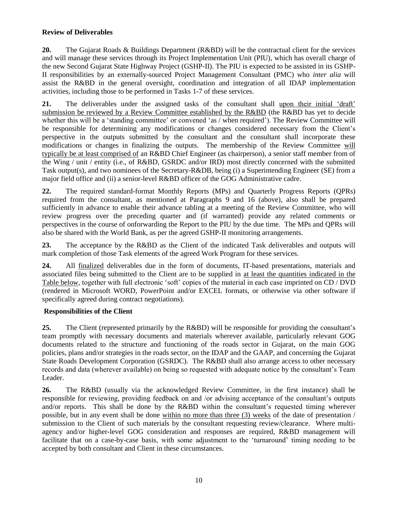### **Review of Deliverables**

**20.** The Gujarat Roads & Buildings Department (R&BD) will be the contractual client for the services and will manage these services through its Project Implementation Unit (PIU), which has overall charge of the new Second Gujarat State Highway Project (GSHP-II). The PIU is expected to be assisted in its GSHP-II responsibilities by an externally-sourced Project Management Consultant (PMC) who *inter alia* will assist the R&BD in the general oversight, coordination and integration of all IDAP implementation activities, including those to be performed in Tasks 1-7 of these services.

**21.** The deliverables under the assigned tasks of the consultant shall upon their initial 'draft' submission be reviewed by a Review Committee established by the R&BD (the R&BD has yet to decide whether this will be a 'standing committee' or convened 'as / when required'). The Review Committee will be responsible for determining any modifications or changes considered necessary from the Client's perspective in the outputs submitted by the consultant and the consultant shall incorporate these modifications or changes in finalizing the outputs. The membership of the Review Committee will typically be at least comprised of an R&BD Chief Engineer (as chairperson), a senior staff member from of the Wing / unit / entity (i.e., of R&BD, GSRDC and/or IRD) most directly concerned with the submitted Task output(s), and two nominees of the Secretary-R&DB, being (i) a Superintending Engineer (SE) from a major field office and (ii) a senior-level R&BD officer of the GOG Administrative cadre.

**22.** The required standard-format Monthly Reports (MPs) and Quarterly Progress Reports (QPRs) required from the consultant, as mentioned at Paragraphs 9 and 16 (above), also shall be prepared sufficiently in advance to enable their advance tabling at a meeting of the Review Committee, who will review progress over the preceding quarter and (if warranted) provide any related comments or perspectives in the course of onforwarding the Report to the PIU by the due time. The MPs and QPRs will also be shared with the World Bank, as per the agreed GSHP-II monitoring arrangements.

**23.** The acceptance by the R&BD as the Client of the indicated Task deliverables and outputs will mark completion of those Task elements of the agreed Work Program for these services.

**24.** All finalized deliverables due in the form of documents, IT-based presentations, materials and associated files being submitted to the Client are to be supplied in at least the quantities indicated in the Table below, together with full electronic 'soft' copies of the material in each case imprinted on CD / DVD (rendered in Microsoft WORD, PowerPoint and/or EXCEL formats, or otherwise via other software if specifically agreed during contract negotiations).

#### **Responsibilities of the Client**

**25.** The Client (represented primarily by the R&BD) will be responsible for providing the consultant's team promptly with necessary documents and materials wherever available, particularly relevant GOG documents related to the structure and functioning of the roads sector in Gujarat, on the main GOG policies, plans and/or strategies in the roads sector, on the IDAP and the GAAP, and concerning the Gujarat State Roads Development Corporation (GSRDC). The R&BD shall also arrange access to other necessary records and data (wherever available) on being so requested with adequate notice by the consultant's Team Leader.

**26.** The R&BD (usually via the acknowledged Review Committee, in the first instance) shall be responsible for reviewing, providing feedback on and /or advising acceptance of the consultant's outputs and/or reports. This shall be done by the R&BD within the consultant's requested timing wherever possible, but in any event shall be done within no more than three (3) weeks of the date of presentation / submission to the Client of such materials by the consultant requesting review/clearance. Where multiagency and/or higher-level GOG consideration and responses are required, R&BD management will facilitate that on a case-by-case basis, with some adjustment to the 'turnaround' timing needing to be accepted by both consultant and Client in these circumstances.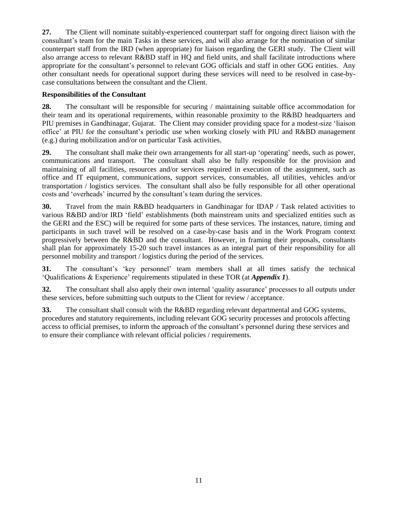**27.** The Client will nominate suitably-experienced counterpart staff for ongoing direct liaison with the consultant's team for the main Tasks in these services, and will also arrange for the nomination of similar counterpart staff from the IRD (when appropriate) for liaison regarding the GERI study. The Client will also arrange access to relevant R&BD staff in HQ and field units, and shall facilitate introductions where appropriate for the consultant's personnel to relevant GOG officials and staff in other GOG entities. Any other consultant needs for operational support during these services will need to be resolved in case-bycase consultations between the consultant and the Client.

#### **Responsibilities of the Consultant**

**28.** The consultant will be responsible for securing / maintaining suitable office accommodation for their team and its operational requirements, within reasonable proximity to the R&BD headquarters and PIU premises in Gandhinagar, Gujarat. The Client may consider providing space for a modest-size 'liaison office' at PIU for the consultant's periodic use when working closely with PIU and R&BD management (e.g.) during mobilization and/or on particular Task activities.

**29.** The consultant shall make their own arrangements for all start-up 'operating' needs, such as power, communications and transport. The consultant shall also be fully responsible for the provision and maintaining of all facilities, resources and/or services required in execution of the assignment, such as office and IT equipment, communications, support services, consumables, all utilities, vehicles and/or transportation / logistics services. The consultant shall also be fully responsible for all other operational costs and 'overheads' incurred by the consultant's team during the services.

**30.** Travel from the main R&BD headquarters in Gandhinagar for IDAP / Task related activities to various R&BD and/or IRD 'field' establishments (both mainstream units and specialized entities such as the GERI and the ESC) will be required for some parts of these services. The instances, nature, timing and participants in such travel will be resolved on a case-by-case basis and in the Work Program context progressively between the R&BD and the consultant. However, in framing their proposals, consultants shall plan for approximately 15-20 such travel instances as an integral part of their responsibility for all personnel mobility and transport / logistics during the period of the services.

**31.** The consultant's 'key personnel' team members shall at all times satisfy the technical 'Qualifications & Experience' requirements stipulated in these TOR (at *Appendix 1*).

**32.** The consultant shall also apply their own internal 'quality assurance' processes to all outputs under these services, before submitting such outputs to the Client for review / acceptance.

**33.** The consultant shall consult with the R&BD regarding relevant departmental and GOG systems, procedures and statutory requirements, including relevant GOG security processes and protocols affecting access to official premises, to inform the approach of the consultant's personnel during these services and to ensure their compliance with relevant official policies / requirements.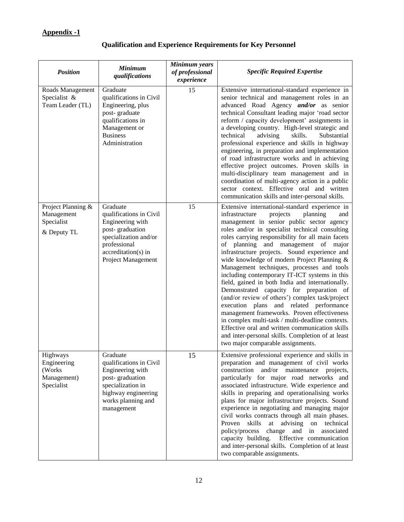## **Appendix -1**

## **Qualification and Experience Requirements for Key Personnel**

| <b>Position</b>                                                 | <b>Minimum</b><br>qualifications                                                                                                                                 | Minimum years<br>of professional<br>experience | <b>Specific Required Expertise</b>                                                                                                                                                                                                                                                                                                                                                                                                                                                                                                                                                                                                                                                                                                                                                                                                                                                                                                       |
|-----------------------------------------------------------------|------------------------------------------------------------------------------------------------------------------------------------------------------------------|------------------------------------------------|------------------------------------------------------------------------------------------------------------------------------------------------------------------------------------------------------------------------------------------------------------------------------------------------------------------------------------------------------------------------------------------------------------------------------------------------------------------------------------------------------------------------------------------------------------------------------------------------------------------------------------------------------------------------------------------------------------------------------------------------------------------------------------------------------------------------------------------------------------------------------------------------------------------------------------------|
| Roads Management<br>Specialist &<br>Team Leader (TL)            | Graduate<br>qualifications in Civil<br>Engineering, plus<br>post-graduate<br>qualifications in<br>Management or<br><b>Business</b><br>Administration             | 15                                             | Extensive international-standard experience in<br>senior technical and management roles in an<br>advanced Road Agency and/or as senior<br>technical Consultant leading major 'road sector<br>reform / capacity development' assignments in<br>a developing country. High-level strategic and<br>technical<br>advising<br>Substantial<br>skills.<br>professional experience and skills in highway<br>engineering, in preparation and implementation<br>of road infrastructure works and in achieving<br>effective project outcomes. Proven skills in<br>multi-disciplinary team management and in<br>coordination of multi-agency action in a public<br>sector context. Effective oral and written<br>communication skills and inter-personal skills.                                                                                                                                                                                     |
| Project Planning &<br>Management<br>Specialist<br>& Deputy TL   | Graduate<br>qualifications in Civil<br>Engineering with<br>post-graduation<br>specialization and/or<br>professional<br>accreditation(s) in<br>Project Management | 15                                             | Extensive international-standard experience in<br>infrastructure<br>projects<br>planning<br>and<br>management in senior public sector agency<br>roles and/or in specialist technical consulting<br>roles carrying responsibility for all main facets<br>of planning and management of major<br>infrastructure projects. Sound experience and<br>wide knowledge of modern Project Planning &<br>Management techniques, processes and tools<br>including contemporary IT-ICT systems in this<br>field, gained in both India and internationally.<br>Demonstrated capacity for preparation of<br>(and/or review of others') complex task/project<br>execution plans and related performance<br>management frameworks. Proven effectiveness<br>in complex multi-task / multi-deadline contexts.<br>Effective oral and written communication skills<br>and inter-personal skills. Completion of at least<br>two major comparable assignments. |
| Highways<br>Engineering<br>(Works)<br>Management)<br>Specialist | Graduate<br>qualifications in Civil<br>Engineering with<br>post-graduation<br>specialization in<br>highway engineering<br>works planning and<br>management       | 15                                             | Extensive professional experience and skills in<br>preparation and management of civil works<br>construction and/or maintenance projects,<br>particularly for major road networks and<br>associated infrastructure. Wide experience and<br>skills in preparing and operationalising works<br>plans for major infrastructure projects. Sound<br>experience in negotiating and managing major<br>civil works contracts through all main phases.<br>skills<br>advising on technical<br>Proven<br>at<br>policy/process<br>change and in associated<br>capacity building. Effective communication<br>and inter-personal skills. Completion of at least<br>two comparable assignments.                                                                                                                                                                                                                                                         |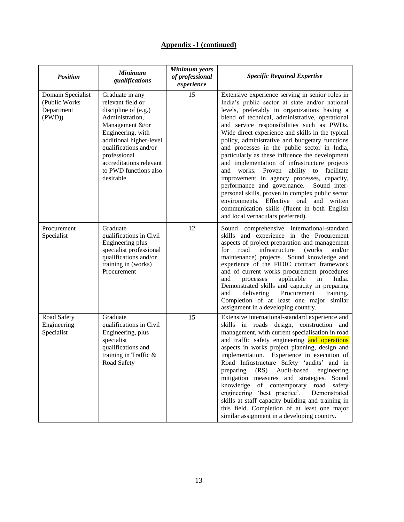| <b>Position</b>                                           | <b>Minimum</b><br>qualifications                                                                                                                                                                                                                                | Minimum years<br>of professional<br>experience | <b>Specific Required Expertise</b>                                                                                                                                                                                                                                                                                                                                                                                                                                                                                                                                                                                                                                                                                                                                                                                                                 |
|-----------------------------------------------------------|-----------------------------------------------------------------------------------------------------------------------------------------------------------------------------------------------------------------------------------------------------------------|------------------------------------------------|----------------------------------------------------------------------------------------------------------------------------------------------------------------------------------------------------------------------------------------------------------------------------------------------------------------------------------------------------------------------------------------------------------------------------------------------------------------------------------------------------------------------------------------------------------------------------------------------------------------------------------------------------------------------------------------------------------------------------------------------------------------------------------------------------------------------------------------------------|
| Domain Specialist<br>(Public Works<br>Department<br>(PWD) | Graduate in any<br>relevant field or<br>discipline of $(e.g.)$<br>Administration,<br>Management &/or<br>Engineering, with<br>additional higher-level<br>qualifications and/or<br>professional<br>accreditations relevant<br>to PWD functions also<br>desirable. | 15                                             | Extensive experience serving in senior roles in<br>India's public sector at state and/or national<br>levels, preferably in organizations having a<br>blend of technical, administrative, operational<br>and service responsibilities such as PWDs.<br>Wide direct experience and skills in the typical<br>policy, administrative and budgetary functions<br>and processes in the public sector in India,<br>particularly as these influence the development<br>and implementation of infrastructure projects<br>and works. Proven<br>ability to facilitate<br>improvement in agency processes, capacity,<br>performance and governance.<br>Sound inter-<br>personal skills, proven in complex public sector<br>environments. Effective oral<br>and<br>written<br>communication skills (fluent in both English<br>and local vernaculars preferred). |
| Procurement<br>Specialist                                 | Graduate<br>qualifications in Civil<br>Engineering plus<br>specialist professional<br>qualifications and/or<br>training in (works)<br>Procurement                                                                                                               | 12                                             | Sound comprehensive international-standard<br>skills and experience in the Procurement<br>aspects of project preparation and management<br>for<br>road<br>infrastructure<br>(works)<br>and/or<br>maintenance) projects. Sound knowledge and<br>experience of the FIDIC contract framework<br>and of current works procurement procedures<br>applicable<br>in<br>India.<br>and<br>processes<br>Demonstrated skills and capacity in preparing<br>Procurement<br>delivering<br>training.<br>and<br>Completion of at least one major similar<br>assignment in a developing country.                                                                                                                                                                                                                                                                    |
| Road Safety<br>Engineering<br>Specialist                  | Graduate<br>qualifications in Civil<br>Engineering, plus<br>specialist<br>qualifications and<br>training in Traffic &<br>Road Safety                                                                                                                            | 15                                             | Extensive international-standard experience and<br>skills in roads design, construction and<br>management, with current specialisation in road<br>and traffic safety engineering and operations<br>aspects in works project planning, design and<br>implementation. Experience in execution of<br>Road Infrastructure Safety 'audits'<br>and in<br>(RS)<br>Audit-based<br>engineering<br>preparing<br>mitigation measures and strategies.<br>Sound<br>knowledge<br>of contemporary<br>road<br>safety<br>engineering 'best practice'.<br>Demonstrated<br>skills at staff capacity building and training in<br>this field. Completion of at least one major<br>similar assignment in a developing country.                                                                                                                                           |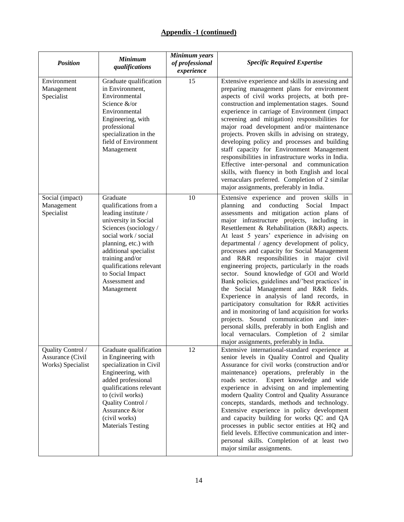| <b>Position</b>                                            | <b>Minimum</b><br>qualifications                                                                                                                                                                                                                                                    | Minimum years<br>of professional<br>experience | <b>Specific Required Expertise</b>                                                                                                                                                                                                                                                                                                                                                                                                                                                                                                                                                                                                                                                                                                                                                                                                                                                                                                                                  |
|------------------------------------------------------------|-------------------------------------------------------------------------------------------------------------------------------------------------------------------------------------------------------------------------------------------------------------------------------------|------------------------------------------------|---------------------------------------------------------------------------------------------------------------------------------------------------------------------------------------------------------------------------------------------------------------------------------------------------------------------------------------------------------------------------------------------------------------------------------------------------------------------------------------------------------------------------------------------------------------------------------------------------------------------------------------------------------------------------------------------------------------------------------------------------------------------------------------------------------------------------------------------------------------------------------------------------------------------------------------------------------------------|
| Environment<br>Management<br>Specialist                    | Graduate qualification<br>in Environment,<br>Environmental<br>Science &/or<br>Environmental<br>Engineering, with<br>professional<br>specialization in the<br>field of Environment<br>Management                                                                                     | 15                                             | Extensive experience and skills in assessing and<br>preparing management plans for environment<br>aspects of civil works projects, at both pre-<br>construction and implementation stages. Sound<br>experience in carriage of Environment (impact<br>screening and mitigation) responsibilities for<br>major road development and/or maintenance<br>projects. Proven skills in advising on strategy,<br>developing policy and processes and building<br>staff capacity for Environment Management<br>responsibilities in infrastructure works in India.<br>Effective inter-personal and communication<br>skills, with fluency in both English and local<br>vernaculars preferred. Completion of 2 similar<br>major assignments, preferably in India.                                                                                                                                                                                                                |
| Social (impact)<br>Management<br>Specialist                | Graduate<br>qualifications from a<br>leading institute /<br>university in Social<br>Sciences (sociology/<br>social work / social<br>planning, etc.) with<br>additional specialist<br>training and/or<br>qualifications relevant<br>to Social Impact<br>Assessment and<br>Management | 10                                             | Extensive experience and proven skills in<br>planning and conducting<br>Social Impact<br>assessments and mitigation action plans of<br>major infrastructure projects, including in<br>Resettlement & Rehabilitation (R&R) aspects.<br>At least 5 years' experience in advising on<br>departmental / agency development of policy,<br>processes and capacity for Social Management<br>and R&R responsibilities in major civil<br>engineering projects, particularly in the roads<br>sector. Sound knowledge of GOI and World<br>Bank policies, guidelines and/'best practices' in<br>the Social Management and R&R fields.<br>Experience in analysis of land records, in<br>participatory consultation for R&R activities<br>and in monitoring of land acquisition for works<br>projects. Sound communication and inter-<br>personal skills, preferably in both English and<br>local vernaculars. Completion of 2 similar<br>major assignments, preferably in India. |
| Quality Control /<br>Assurance (Civil<br>Works) Specialist | Graduate qualification<br>in Engineering with<br>specialization in Civil<br>Engineering, with<br>added professional<br>qualifications relevant<br>to (civil works)<br>Quality Control /<br>Assurance &/or<br>(civil works)<br><b>Materials Testing</b>                              | 12                                             | Extensive international-standard experience at<br>senior levels in Quality Control and Quality<br>Assurance for civil works (construction and/or<br>maintenance) operations, preferably in the<br>Expert knowledge and wide<br>roads sector.<br>experience in advising on and implementing<br>modern Quality Control and Quality Assurance<br>concepts, standards, methods and technology.<br>Extensive experience in policy development<br>and capacity building for works QC and QA<br>processes in public sector entities at HQ and<br>field levels. Effective communication and inter-<br>personal skills. Completion of at least two<br>major similar assignments.                                                                                                                                                                                                                                                                                             |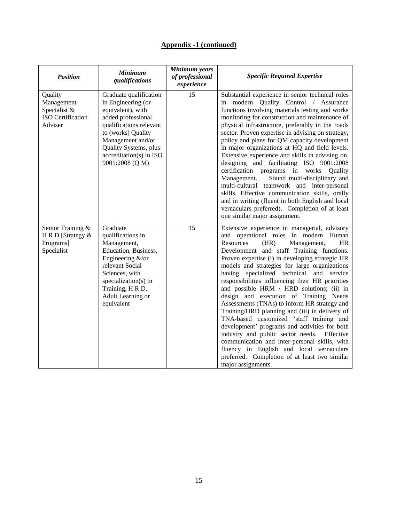| <b>Position</b>                                                              | <b>Minimum</b><br>qualifications                                                                                                                                                                                                     | Minimum years<br>of professional<br>experience | <b>Specific Required Expertise</b>                                                                                                                                                                                                                                                                                                                                                                                                                                                                                                                                                                                                                                                                                                                                                                                                                                                                  |
|------------------------------------------------------------------------------|--------------------------------------------------------------------------------------------------------------------------------------------------------------------------------------------------------------------------------------|------------------------------------------------|-----------------------------------------------------------------------------------------------------------------------------------------------------------------------------------------------------------------------------------------------------------------------------------------------------------------------------------------------------------------------------------------------------------------------------------------------------------------------------------------------------------------------------------------------------------------------------------------------------------------------------------------------------------------------------------------------------------------------------------------------------------------------------------------------------------------------------------------------------------------------------------------------------|
| Quality<br>Management<br>Specialist &<br><b>ISO</b> Certification<br>Adviser | Graduate qualification<br>in Engineering (or<br>equivalent), with<br>added professional<br>qualifications relevant<br>to (works) Quality<br>Management and/or<br>Quality Systems, plus<br>accreditation(s) in ISO<br>9001:2008 (Q M) | 15                                             | Substantial experience in senior technical roles<br>in modern Quality Control / Assurance<br>functions involving materials testing and works<br>monitoring for construction and maintenance of<br>physical infrastructure, preferably in the roads<br>sector. Proven expertise in advising on strategy,<br>policy and plans for QM capacity development<br>in major organizations at HQ and field levels.<br>Extensive experience and skills in advising on,<br>designing and facilitating ISO 9001:2008<br>certification programs in works Quality<br>Management.<br>Sound multi-disciplinary and<br>multi-cultural teamwork and inter-personal<br>skills. Effective communication skills, orally<br>and in writing (fluent in both English and local<br>vernaculars preferred). Completion of at least<br>one similar major assignment.                                                           |
| Senior Training &<br>H R D [Strategy &<br>Programs]<br>Specialist            | Graduate<br>qualifications in<br>Management,<br>Education, Business,<br>Engineering &/or<br>relevant Social<br>Sciences, with<br>specialization(s) in<br>Training, H R D,<br>Adult Learning or<br>equivalent                         | 15                                             | Extensive experience in managerial, advisory<br>and operational roles in modern Human<br>(HR)<br>Resources<br>Management,<br><b>HR</b><br>Development and staff Training functions.<br>Proven expertise (i) in developing strategic HR<br>models and strategies for large organizations<br>having specialized technical and<br>service<br>responsibilities influencing their HR priorities<br>and possible HRM / HRD solutions; (ii) in<br>design and execution of Training Needs<br>Assessments (TNAs) to inform HR strategy and<br>Training/HRD planning and (iii) in delivery of<br>TNA-based customized 'staff training and<br>development' programs and activities for both<br>industry and public sector needs. Effective<br>communication and inter-personal skills, with<br>fluency in English and local vernaculars<br>preferred. Completion of at least two similar<br>major assignments. |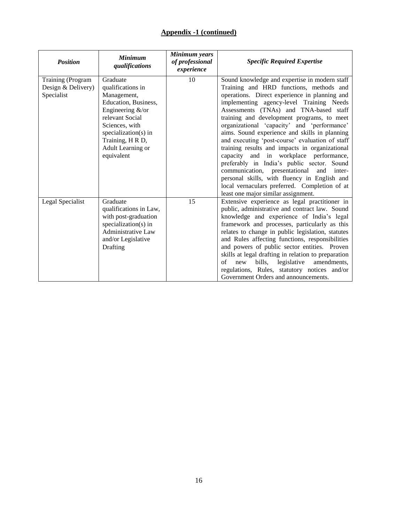| <b>Position</b>                                       | <b>Minimum</b><br>qualifications                                                                                                                                                                             | Minimum years<br>of professional<br>experience | <b>Specific Required Expertise</b>                                                                                                                                                                                                                                                                                                                                                                                                                                                                                                                                                                                                                                                                                                                                   |
|-------------------------------------------------------|--------------------------------------------------------------------------------------------------------------------------------------------------------------------------------------------------------------|------------------------------------------------|----------------------------------------------------------------------------------------------------------------------------------------------------------------------------------------------------------------------------------------------------------------------------------------------------------------------------------------------------------------------------------------------------------------------------------------------------------------------------------------------------------------------------------------------------------------------------------------------------------------------------------------------------------------------------------------------------------------------------------------------------------------------|
| Training (Program<br>Design & Delivery)<br>Specialist | Graduate<br>qualifications in<br>Management,<br>Education, Business,<br>Engineering &/or<br>relevant Social<br>Sciences, with<br>specialization(s) in<br>Training, H R D,<br>Adult Learning or<br>equivalent | 10                                             | Sound knowledge and expertise in modern staff<br>Training and HRD functions, methods and<br>operations. Direct experience in planning and<br>implementing agency-level Training Needs<br>Assessments (TNAs) and TNA-based staff<br>training and development programs, to meet<br>organizational 'capacity' and 'performance'<br>aims. Sound experience and skills in planning<br>and executing 'post-course' evaluation of staff<br>training results and impacts in organizational<br>capacity and in workplace performance,<br>preferably in India's public sector. Sound<br>communication, presentational<br>and<br>inter-<br>personal skills, with fluency in English and<br>local vernaculars preferred. Completion of at<br>least one major similar assignment. |
| Legal Specialist                                      | Graduate<br>qualifications in Law,<br>with post-graduation<br>specialization(s) in<br>Administrative Law<br>and/or Legislative<br>Drafting                                                                   | 15                                             | Extensive experience as legal practitioner in<br>public, administrative and contract law. Sound<br>knowledge and experience of India's legal<br>framework and processes, particularly as this<br>relates to change in public legislation, statutes<br>and Rules affecting functions, responsibilities<br>and powers of public sector entities. Proven<br>skills at legal drafting in relation to preparation<br>legislative<br>amendments,<br>of<br>new<br>bills,<br>regulations, Rules, statutory notices and/or<br>Government Orders and announcements.                                                                                                                                                                                                            |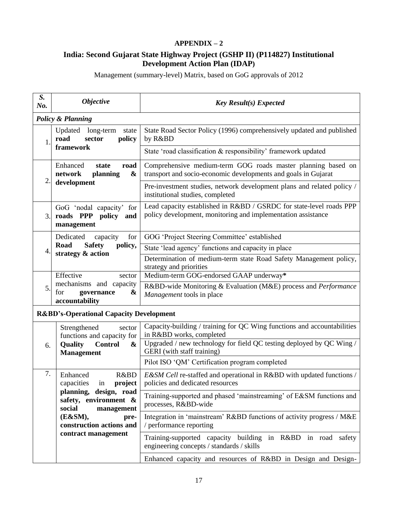## **APPENDIX – 2**

## **India: Second Gujarat State Highway Project (GSHP II) (P114827) Institutional Development Action Plan (IDAP)**

Management (summary-level) Matrix, based on GoG approvals of 2012

| S.<br>No.                                                                 | <b>Objective</b>                                                        | <b>Key Result(s) Expected</b>                                                                                                       |  |
|---------------------------------------------------------------------------|-------------------------------------------------------------------------|-------------------------------------------------------------------------------------------------------------------------------------|--|
|                                                                           | <b>Policy &amp; Planning</b>                                            |                                                                                                                                     |  |
| $\mathbf{1}$                                                              | Updated<br>long-term<br>state<br>policy<br>sector<br>road               | State Road Sector Policy (1996) comprehensively updated and published<br>by R&BD                                                    |  |
|                                                                           | framework                                                               | State 'road classification & responsibility' framework updated                                                                      |  |
| $\overline{2}$ .                                                          | Enhanced<br>state<br>road<br>network<br>planning<br>&                   | Comprehensive medium-term GOG roads master planning based on<br>transport and socio-economic developments and goals in Gujarat      |  |
|                                                                           | development                                                             | Pre-investment studies, network development plans and related policy /<br>institutional studies, completed                          |  |
| 3.                                                                        | GoG 'nodal capacity' for<br>roads PPP<br>policy<br>and<br>management    | Lead capacity established in R&BD / GSRDC for state-level roads PPP<br>policy development, monitoring and implementation assistance |  |
|                                                                           | Dedicated<br>for<br>capacity                                            | GOG 'Project Steering Committee' established                                                                                        |  |
| 4.                                                                        | Road<br><b>Safety</b><br>policy,                                        | State 'lead agency' functions and capacity in place                                                                                 |  |
|                                                                           | strategy & action                                                       | Determination of medium-term state Road Safety Management policy,<br>strategy and priorities                                        |  |
|                                                                           | Effective<br>sector                                                     | Medium-term GOG-endorsed GAAP underway*                                                                                             |  |
| mechanisms and capacity<br>5.<br>for<br>governance<br>&<br>accountability |                                                                         | R&BD-wide Monitoring & Evaluation (M&E) process and Performance<br>Management tools in place                                        |  |
| <b>R&amp;BD's-Operational Capacity Development</b>                        |                                                                         |                                                                                                                                     |  |
|                                                                           | Strengthened<br>sector<br>functions and capacity for                    | Capacity-building / training for QC Wing functions and accountabilities<br>in R&BD works, completed                                 |  |
| 6.                                                                        | <b>Quality</b><br><b>Control</b><br>&<br><b>Management</b>              | Upgraded / new technology for field QC testing deployed by QC Wing /<br>GERI (with staff training)                                  |  |
|                                                                           |                                                                         | Pilot ISO 'QM' Certification program completed                                                                                      |  |
| 7.                                                                        | Enhanced<br>R&BD<br>capacities<br>project<br>in                         | E&SM Cell re-staffed and operational in R&BD with updated functions /<br>policies and dedicated resources                           |  |
|                                                                           | planning, design, road<br>safety, environment &<br>social<br>management | Training-supported and phased 'mainstreaming' of E&SM functions and<br>processes, R&BD-wide                                         |  |
|                                                                           | (E&SM),<br>pre-<br>construction actions and                             | Integration in 'mainstream' R&BD functions of activity progress / M&E<br>/ performance reporting                                    |  |
|                                                                           | contract management                                                     | Training-supported capacity building in R&BD in road safety<br>engineering concepts / standards / skills                            |  |
|                                                                           |                                                                         | Enhanced capacity and resources of R&BD in Design and Design-                                                                       |  |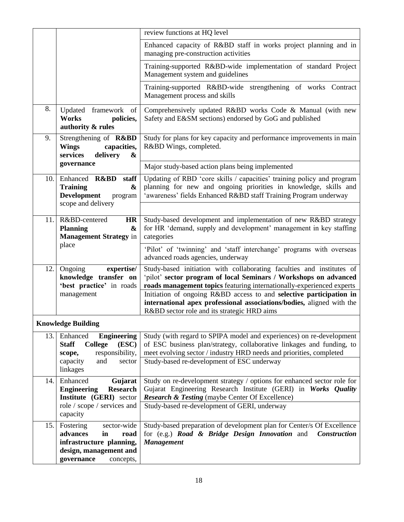|     |                                                                                                                                     | review functions at HQ level                                                                                                                                                                                                                            |
|-----|-------------------------------------------------------------------------------------------------------------------------------------|---------------------------------------------------------------------------------------------------------------------------------------------------------------------------------------------------------------------------------------------------------|
|     |                                                                                                                                     | Enhanced capacity of R&BD staff in works project planning and in<br>managing pre-construction activities                                                                                                                                                |
|     |                                                                                                                                     | Training-supported R&BD-wide implementation of standard Project<br>Management system and guidelines                                                                                                                                                     |
|     |                                                                                                                                     | Training-supported R&BD-wide strengthening of works Contract<br>Management process and skills                                                                                                                                                           |
| 8.  | Updated framework of<br>Works<br>policies,<br>authority & rules                                                                     | Comprehensively updated R&BD works Code & Manual (with new<br>Safety and E&SM sections) endorsed by GoG and published                                                                                                                                   |
| 9.  | Strengthening of R&BD<br><b>Wings</b><br>capacities,<br>services<br>delivery<br>&                                                   | Study for plans for key capacity and performance improvements in main<br>R&BD Wings, completed.                                                                                                                                                         |
|     | governance                                                                                                                          | Major study-based action plans being implemented                                                                                                                                                                                                        |
| 10. | Enhanced R&BD<br>staff<br><b>Training</b><br>&<br><b>Development</b><br>program<br>scope and delivery                               | Updating of RBD 'core skills / capacities' training policy and program<br>planning for new and ongoing priorities in knowledge, skills and<br>'awareness' fields Enhanced R&BD staff Training Program underway                                          |
|     |                                                                                                                                     |                                                                                                                                                                                                                                                         |
| 11. | R&BD-centered<br><b>HR</b><br><b>Planning</b><br>&<br><b>Management Strategy in</b>                                                 | Study-based development and implementation of new R&BD strategy<br>for HR 'demand, supply and development' management in key staffing<br>categories                                                                                                     |
|     | place                                                                                                                               | 'Pilot' of 'twinning' and 'staff interchange' programs with overseas<br>advanced roads agencies, underway                                                                                                                                               |
| 12. | Ongoing<br>expertise/<br>knowledge transfer on<br>'best practice' in roads                                                          | Study-based initiation with collaborating faculties and institutes of<br>'pilot' sector program of local Seminars / Workshops on advanced<br>roads management topics featuring internationally-experienced experts                                      |
|     | management                                                                                                                          | Initiation of ongoing R&BD access to and selective participation in<br>international apex professional associations/bodies, aligned with the<br>R&BD sector role and its strategic HRD aims                                                             |
|     | <b>Knowledge Building</b>                                                                                                           |                                                                                                                                                                                                                                                         |
| 13. | Enhanced<br><b>Engineering</b><br><b>Staff</b><br>(ESC)<br><b>College</b><br>responsibility,<br>scope,                              | Study (with regard to SPIPA model and experiences) on re-development<br>of ESC business plan/strategy, collaborative linkages and funding, to<br>meet evolving sector / industry HRD needs and priorities, completed                                    |
|     | capacity<br>and<br>sector<br>linkages                                                                                               | Study-based re-development of ESC underway                                                                                                                                                                                                              |
| 14. | Enhanced<br>Gujarat<br><b>Research</b><br><b>Engineering</b><br>Institute (GERI) sector<br>role / scope / services and              | Study on re-development strategy / options for enhanced sector role for<br>Gujarat Engineering Research Institute (GERI) in Works Quality<br><b>Research &amp; Testing</b> (maybe Center Of Excellence)<br>Study-based re-development of GERI, underway |
|     | capacity                                                                                                                            |                                                                                                                                                                                                                                                         |
| 15. | Fostering<br>sector-wide<br>advances<br>in<br>road<br>infrastructure planning,<br>design, management and<br>governance<br>concepts, | Study-based preparation of development plan for Center/s Of Excellence<br>for (e.g.) <b>Road &amp; Bridge Design Innovation</b> and<br><b>Construction</b><br><b>Management</b>                                                                         |